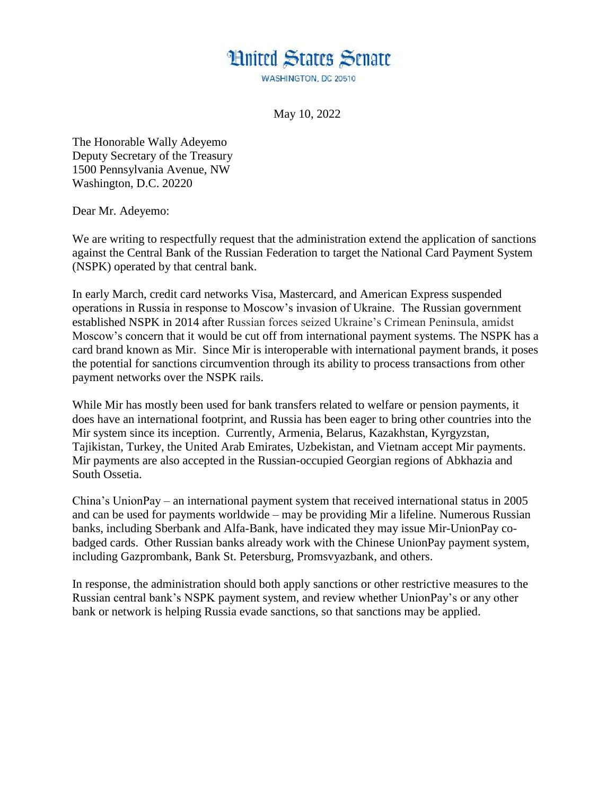## **Hnited States Senate**

WASHINGTON, DC 20510

May 10, 2022

The Honorable Wally Adeyemo Deputy Secretary of the Treasury 1500 Pennsylvania Avenue, NW Washington, D.C. 20220

Dear Mr. Adeyemo:

We are writing to respectfully request that the administration extend the application of sanctions against the Central Bank of the Russian Federation to target the National Card Payment System (NSPK) operated by that central bank.

In early March, credit card networks Visa, Mastercard, and American Express suspended operations in Russia in response to Moscow's invasion of Ukraine. The Russian government established NSPK in 2014 after Russian forces seized Ukraine's Crimean Peninsula, amidst Moscow's concern that it would be cut off from international payment systems. The NSPK has a card brand known as Mir. Since Mir is interoperable with international payment brands, it poses the potential for sanctions circumvention through its ability to process transactions from other payment networks over the NSPK rails.

While Mir has mostly been used for bank transfers related to welfare or pension payments, it does have an international footprint, and Russia has been eager to bring other countries into the Mir system since its inception. Currently, Armenia, Belarus, Kazakhstan, Kyrgyzstan, Tajikistan, Turkey, the United Arab Emirates, Uzbekistan, and Vietnam accept Mir payments. Mir payments are also accepted in the Russian-occupied Georgian regions of Abkhazia and South Ossetia.

China's UnionPay – an international payment system that received international status in 2005 and can be used for payments worldwide – may be providing Mir a lifeline. Numerous Russian banks, including Sberbank and Alfa-Bank, have indicated they may issue Mir-UnionPay cobadged cards. Other Russian banks already work with the Chinese UnionPay payment system, including Gazprombank, Bank St. Petersburg, Promsvyazbank, and others.

In response, the administration should both apply sanctions or other restrictive measures to the Russian central bank's NSPK payment system, and review whether UnionPay's or any other bank or network is helping Russia evade sanctions, so that sanctions may be applied.